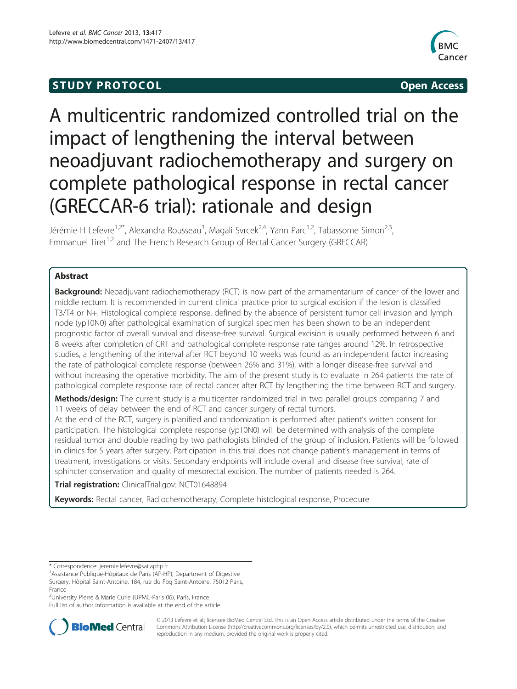## **STUDY PROTOCOL CONSUMING THE STUDY PROTOCOL**



# A multicentric randomized controlled trial on the impact of lengthening the interval between neoadjuvant radiochemotherapy and surgery on complete pathological response in rectal cancer (GRECCAR-6 trial): rationale and design

Jérémie H Lefevre<sup>1,2\*</sup>, Alexandra Rousseau<sup>3</sup>, Magali Svrcek<sup>2,4</sup>, Yann Parc<sup>1,2</sup>, Tabassome Simon<sup>2,3</sup>, Emmanuel Tiret<sup>1,2</sup> and The French Research Group of Rectal Cancer Surgery (GRECCAR)

### Abstract

**Background:** Neoadjuvant radiochemotherapy (RCT) is now part of the armamentarium of cancer of the lower and middle rectum. It is recommended in current clinical practice prior to surgical excision if the lesion is classified T3/T4 or N+. Histological complete response, defined by the absence of persistent tumor cell invasion and lymph node (ypT0N0) after pathological examination of surgical specimen has been shown to be an independent prognostic factor of overall survival and disease-free survival. Surgical excision is usually performed between 6 and 8 weeks after completion of CRT and pathological complete response rate ranges around 12%. In retrospective studies, a lengthening of the interval after RCT beyond 10 weeks was found as an independent factor increasing the rate of pathological complete response (between 26% and 31%), with a longer disease-free survival and without increasing the operative morbidity. The aim of the present study is to evaluate in 264 patients the rate of pathological complete response rate of rectal cancer after RCT by lengthening the time between RCT and surgery.

Methods/design: The current study is a multicenter randomized trial in two parallel groups comparing 7 and 11 weeks of delay between the end of RCT and cancer surgery of rectal tumors.

At the end of the RCT, surgery is planified and randomization is performed after patient's written consent for participation. The histological complete response (ypT0N0) will be determined with analysis of the complete residual tumor and double reading by two pathologists blinded of the group of inclusion. Patients will be followed in clinics for 5 years after surgery. Participation in this trial does not change patient's management in terms of treatment, investigations or visits. Secondary endpoints will include overall and disease free survival, rate of sphincter conservation and quality of mesorectal excision. The number of patients needed is 264.

Trial registration: ClinicalTrial.gov: [NCT01648894](http://www.clinicaltrials.gov/NCT01648894)

Keywords: Rectal cancer, Radiochemotherapy, Complete histological response, Procedure

<sup>2</sup>University Pierre & Marie Curie (UPMC-Paris 06), Paris, France

Full list of author information is available at the end of the article



© 2013 Lefevre et al.; licensee BioMed Central Ltd. This is an Open Access article distributed under the terms of the Creative Commons Attribution License [\(http://creativecommons.org/licenses/by/2.0\)](http://creativecommons.org/licenses/by/2.0), which permits unrestricted use, distribution, and reproduction in any medium, provided the original work is properly cited.

<sup>\*</sup> Correspondence: [jeremie.lefevre@sat.aphp.fr](mailto:jeremie.lefevre@sat.aphp.fr) <sup>1</sup>

<sup>&</sup>lt;sup>1</sup> Assistance Publique-Hôpitaux de Paris (AP-HP), Department of Digestive Surgery, Hôpital Saint-Antoine, 184, rue du Fbg Saint-Antoine, 75012 Paris, France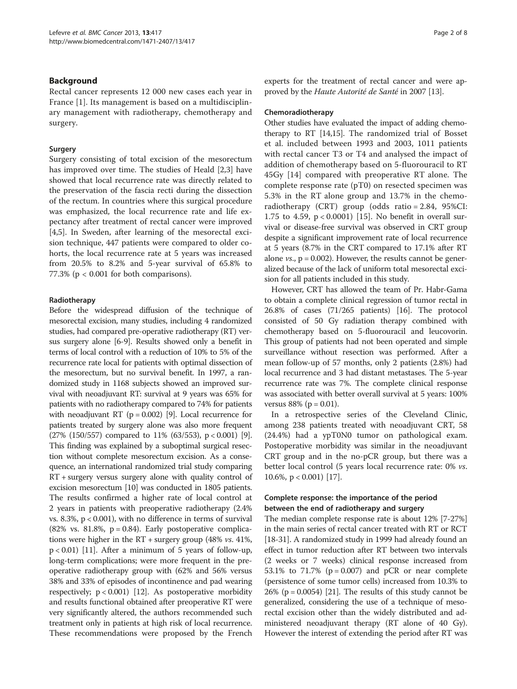#### Background

Rectal cancer represents 12 000 new cases each year in France [[1\]](#page-6-0). Its management is based on a multidisciplinary management with radiotherapy, chemotherapy and surgery.

#### Surgery

Surgery consisting of total excision of the mesorectum has improved over time. The studies of Heald [[2](#page-6-0),[3\]](#page-6-0) have showed that local recurrence rate was directly related to the preservation of the fascia recti during the dissection of the rectum. In countries where this surgical procedure was emphasized, the local recurrence rate and life expectancy after treatment of rectal cancer were improved [[4,5\]](#page-6-0). In Sweden, after learning of the mesorectal excision technique, 447 patients were compared to older cohorts, the local recurrence rate at 5 years was increased from 20.5% to 8.2% and 5-year survival of 65.8% to 77.3% ( $p < 0.001$  for both comparisons).

#### Radiotherapy

Before the widespread diffusion of the technique of mesorectal excision, many studies, including 4 randomized studies, had compared pre-operative radiotherapy (RT) versus surgery alone [\[6](#page-6-0)-[9](#page-6-0)]. Results showed only a benefit in terms of local control with a reduction of 10% to 5% of the recurrence rate local for patients with optimal dissection of the mesorectum, but no survival benefit. In 1997, a randomized study in 1168 subjects showed an improved survival with neoadjuvant RT: survival at 9 years was 65% for patients with no radiotherapy compared to 74% for patients with neoadjuvant RT ( $p = 0.002$ ) [\[9\]](#page-6-0). Local recurrence for patients treated by surgery alone was also more frequent (27% (150/557) compared to 11% (63/553),  $p < 0.001$ ) [[9](#page-6-0)]. This finding was explained by a suboptimal surgical resection without complete mesorectum excision. As a consequence, an international randomized trial study comparing RT + surgery versus surgery alone with quality control of excision mesorectum [[10](#page-6-0)] was conducted in 1805 patients. The results confirmed a higher rate of local control at 2 years in patients with preoperative radiotherapy (2.4% vs. 8.3%,  $p < 0.001$ ), with no difference in terms of survival  $(82\% \text{ vs. } 81.8\%, \text{ p} = 0.84)$ . Early postoperative complications were higher in the RT + surgery group (48% vs. 41%,  $p < 0.01$ ) [[11](#page-6-0)]. After a minimum of 5 years of follow-up, long-term complications; were more frequent in the preoperative radiotherapy group with (62% and 56% versus 38% and 33% of episodes of incontinence and pad wearing respectively;  $p < 0.001$ ) [\[12\]](#page-6-0). As postoperative morbidity and results functional obtained after preoperative RT were very significantly altered, the authors recommended such treatment only in patients at high risk of local recurrence. These recommendations were proposed by the French experts for the treatment of rectal cancer and were approved by the Haute Autorité de Santé in 2007 [[13](#page-6-0)].

#### Chemoradiotherapy

Other studies have evaluated the impact of adding chemotherapy to RT [\[14,15](#page-6-0)]. The randomized trial of Bosset et al. included between 1993 and 2003, 1011 patients with rectal cancer T3 or T4 and analysed the impact of addition of chemotherapy based on 5-fluorouracil to RT 45Gy [\[14](#page-6-0)] compared with preoperative RT alone. The complete response rate (pT0) on resected specimen was 5.3% in the RT alone group and 13.7% in the chemoradiotherapy (CRT) group (odds ratio = 2.84, 95%CI: 1.75 to 4.59, p < 0.0001) [[15\]](#page-6-0). No benefit in overall survival or disease-free survival was observed in CRT group despite a significant improvement rate of local recurrence at 5 years (8.7% in the CRT compared to 17.1% after RT alone  $vs.$ ,  $p = 0.002$ ). However, the results cannot be generalized because of the lack of uniform total mesorectal excision for all patients included in this study.

However, CRT has allowed the team of Pr. Habr-Gama to obtain a complete clinical regression of tumor rectal in 26.8% of cases (71/265 patients) [\[16\]](#page-6-0). The protocol consisted of 50 Gy radiation therapy combined with chemotherapy based on 5-fluorouracil and leucovorin. This group of patients had not been operated and simple surveillance without resection was performed. After a mean follow-up of 57 months, only 2 patients (2.8%) had local recurrence and 3 had distant metastases. The 5-year recurrence rate was 7%. The complete clinical response was associated with better overall survival at 5 years: 100% versus  $88\%$  (p = 0.01).

In a retrospective series of the Cleveland Clinic, among 238 patients treated with neoadjuvant CRT, 58 (24.4%) had a ypT0N0 tumor on pathological exam. Postoperative morbidity was similar in the neoadjuvant CRT group and in the no-pCR group, but there was a better local control (5 years local recurrence rate: 0% vs. 10.6%,  $p < 0.001$  [[17\]](#page-6-0).

#### Complete response: the importance of the period between the end of radiotherapy and surgery

The median complete response rate is about 12% [7-27%] in the main series of rectal cancer treated with RT or RCT [[18](#page-6-0)-[31\]](#page-6-0). A randomized study in 1999 had already found an effect in tumor reduction after RT between two intervals (2 weeks or 7 weeks) clinical response increased from 53.1% to 71.7% ( $p = 0.007$ ) and pCR or near complete (persistence of some tumor cells) increased from 10.3% to  $26\%$  (p = 0.0054) [[21](#page-6-0)]. The results of this study cannot be generalized, considering the use of a technique of mesorectal excision other than the widely distributed and administered neoadjuvant therapy (RT alone of 40 Gy). However the interest of extending the period after RT was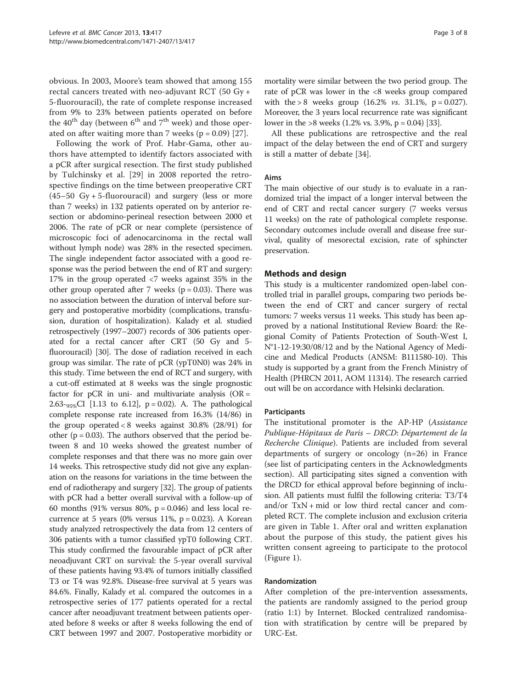obvious. In 2003, Moore's team showed that among 155 rectal cancers treated with neo-adjuvant RCT (50 Gy + 5-fluorouracil), the rate of complete response increased from 9% to 23% between patients operated on before the  $40^{th}$  day (between  $6^{th}$  and  $7^{th}$  week) and those operated on after waiting more than 7 weeks ( $p = 0.09$ ) [[27\]](#page-6-0).

Following the work of Prof. Habr-Gama, other authors have attempted to identify factors associated with a pCR after surgical resection. The first study published by Tulchinsky et al. [\[29](#page-6-0)] in 2008 reported the retrospective findings on the time between preoperative CRT  $(45-50 \text{ Gy} + 5\text{-fluorouracil})$  and surgery (less or more than 7 weeks) in 132 patients operated on by anterior resection or abdomino-perineal resection between 2000 et 2006. The rate of pCR or near complete (persistence of microscopic foci of adenocarcinoma in the rectal wall without lymph node) was 28% in the resected specimen. The single independent factor associated with a good response was the period between the end of RT and surgery: 17% in the group operated <7 weeks against 35% in the other group operated after 7 weeks ( $p = 0.03$ ). There was no association between the duration of interval before surgery and postoperative morbidity (complications, transfusion, duration of hospitalization). Kalady et al. studied retrospectively (1997–2007) records of 306 patients operated for a rectal cancer after CRT (50 Gy and 5 fluorouracil) [\[30\]](#page-6-0). The dose of radiation received in each group was similar. The rate of pCR (ypT0N0) was 24% in this study. Time between the end of RCT and surgery, with a cut-off estimated at 8 weeks was the single prognostic factor for pCR in uni- and multivariate analysis  $(OR =$ 2.63- $_{95\%}$ CI [1.13 to 6.12], p = 0.02). A. The pathological complete response rate increased from 16.3% (14/86) in the group operated < 8 weeks against 30.8% (28/91) for other ( $p = 0.03$ ). The authors observed that the period between 8 and 10 weeks showed the greatest number of complete responses and that there was no more gain over 14 weeks. This retrospective study did not give any explanation on the reasons for variations in the time between the end of radiotherapy and surgery [\[32\]](#page-6-0). The group of patients with pCR had a better overall survival with a follow-up of 60 months (91% versus 80%,  $p = 0.046$ ) and less local recurrence at 5 years (0% versus 11%,  $p = 0.023$ ). A Korean study analyzed retrospectively the data from 12 centers of 306 patients with a tumor classified ypT0 following CRT. This study confirmed the favourable impact of pCR after neoadjuvant CRT on survival: the 5-year overall survival of these patients having 93.4% of tumors initially classified T3 or T4 was 92.8%. Disease-free survival at 5 years was 84.6%. Finally, Kalady et al. compared the outcomes in a retrospective series of 177 patients operated for a rectal cancer after neoadjuvant treatment between patients operated before 8 weeks or after 8 weeks following the end of CRT between 1997 and 2007. Postoperative morbidity or

mortality were similar between the two period group. The rate of pCR was lower in the <8 weeks group compared with the > 8 weeks group (16.2% *vs.* 31.1%,  $p = 0.027$ ). Moreover, the 3 years local recurrence rate was significant lower in the >8 weeks  $(1.2\% \text{ vs. } 3.9\%, \text{ p} = 0.04)$  [\[33\]](#page-6-0).

All these publications are retrospective and the real impact of the delay between the end of CRT and surgery is still a matter of debate [[34](#page-6-0)].

#### Aims

The main objective of our study is to evaluate in a randomized trial the impact of a longer interval between the end of CRT and rectal cancer surgery (7 weeks versus 11 weeks) on the rate of pathological complete response. Secondary outcomes include overall and disease free survival, quality of mesorectal excision, rate of sphincter preservation.

#### Methods and design

This study is a multicenter randomized open-label controlled trial in parallel groups, comparing two periods between the end of CRT and cancer surgery of rectal tumors: 7 weeks versus 11 weeks. This study has been approved by a national Institutional Review Board: the Regional Comity of Patients Protection of South-West I, N°1-12-19:30/08/12 and by the National Agency of Medicine and Medical Products (ANSM: B111580-10). This study is supported by a grant from the French Ministry of Health (PHRCN 2011, AOM 11314). The research carried out will be on accordance with Helsinki declaration.

#### **Participants**

The institutional promoter is the AP-HP (Assistance Publique-Hôpitaux de Paris – DRCD: Département de la Recherche Clinique). Patients are included from several departments of surgery or oncology (n=26) in France (see list of participating centers in the [Acknowledgments](#page-5-0) section). All participating sites signed a convention with the DRCD for ethical approval before beginning of inclusion. All patients must fulfil the following criteria: T3/T4 and/or  $TxN + mid$  or low third rectal cancer and completed RCT. The complete inclusion and exclusion criteria are given in Table [1](#page-3-0). After oral and written explanation about the purpose of this study, the patient gives his written consent agreeing to participate to the protocol (Figure [1](#page-4-0)).

#### Randomization

After completion of the pre-intervention assessments, the patients are randomly assigned to the period group (ratio 1:1) by Internet. Blocked centralized randomisation with stratification by centre will be prepared by URC-Est.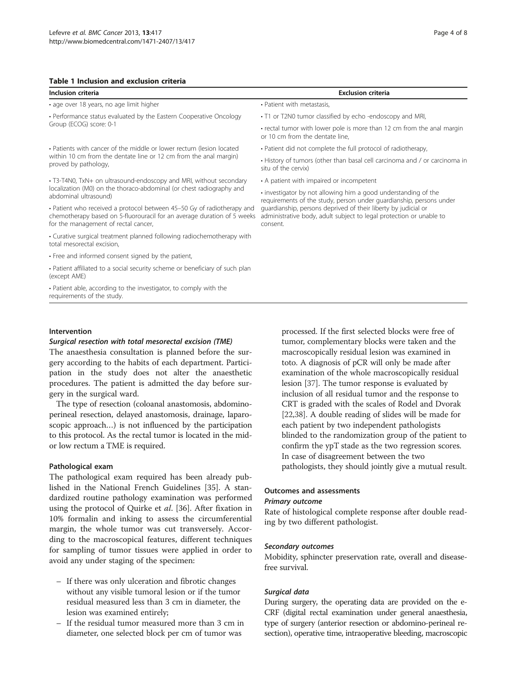#### <span id="page-3-0"></span>Table 1 Inclusion and exclusion criteria

#### Inclusion criteria Exclusion criteria • age over 18 years, no age limit higher • Patient with metastasis • Performance status evaluated by the Eastern Cooperative Oncology Group (ECOG) score: 0-1 • T1 or T2N0 tumor classified by echo -endoscopy and MRI, or 10 cm from the dentate line, • Patients with cancer of the middle or lower rectum (lesion located within 10 cm from the dentate line or 12 cm from the anal margin) proved by pathology, • Patient did not complete the full protocol of radiotherapy, situ of the cervix) • T3-T4N0, TxN+ on ultrasound-endoscopy and MRI, without secondary localization (M0) on the thoraco-abdominal (or chest radiography and abdominal ultrasound) • A patient with impaired or incompetent • investigator by not allowing him a good understanding of the guardianship, persons deprived of their liberty by judicial or consent. • Patient who received a protocol between 45–50 Gy of radiotherapy and chemotherapy based on 5-fluorouracil for an average duration of 5 weeks for the management of rectal cancer, • Curative surgical treatment planned following radiochemotherapy with total mesorectal excision, • Free and informed consent signed by the patient, • Patient affiliated to a social security scheme or beneficiary of such plan (except AME) • Patient able, according to the investigator, to comply with the requirements of the study.

#### Intervention

#### Surgical resection with total mesorectal excision (TME)

The anaesthesia consultation is planned before the surgery according to the habits of each department. Participation in the study does not alter the anaesthetic procedures. The patient is admitted the day before surgery in the surgical ward.

The type of resection (coloanal anastomosis, abdominoperineal resection, delayed anastomosis, drainage, laparoscopic approach…) is not influenced by the participation to this protocol. As the rectal tumor is located in the midor low rectum a TME is required.

#### Pathological exam

The pathological exam required has been already published in the National French Guidelines [[35\]](#page-6-0). A standardized routine pathology examination was performed using the protocol of Quirke et al. [[36\]](#page-7-0). After fixation in 10% formalin and inking to assess the circumferential margin, the whole tumor was cut transversely. According to the macroscopical features, different techniques for sampling of tumor tissues were applied in order to avoid any under staging of the specimen:

- If there was only ulceration and fibrotic changes without any visible tumoral lesion or if the tumor residual measured less than 3 cm in diameter, the lesion was examined entirely;
- If the residual tumor measured more than 3 cm in diameter, one selected block per cm of tumor was

processed. If the first selected blocks were free of tumor, complementary blocks were taken and the macroscopically residual lesion was examined in toto. A diagnosis of pCR will only be made after examination of the whole macroscopically residual lesion [[37\]](#page-7-0). The tumor response is evaluated by inclusion of all residual tumor and the response to CRT is graded with the scales of Rodel and Dvorak [[22](#page-6-0),[38](#page-7-0)]. A double reading of slides will be made for each patient by two independent pathologists blinded to the randomization group of the patient to confirm the ypT stade as the two regression scores. In case of disagreement between the two pathologists, they should jointly give a mutual result.

## Outcomes and assessments

#### Primary outcome

Rate of histological complete response after double reading by two different pathologist.

#### Secondary outcomes

Mobidity, sphincter preservation rate, overall and diseasefree survival.

#### Surgical data

During surgery, the operating data are provided on the e-CRF (digital rectal examination under general anaesthesia, type of surgery (anterior resection or abdomino-perineal resection), operative time, intraoperative bleeding, macroscopic

• rectal tumor with lower pole is more than 12 cm from the anal margin

• History of tumors (other than basal cell carcinoma and / or carcinoma in

requirements of the study, person under guardianship, persons under administrative body, adult subject to legal protection or unable to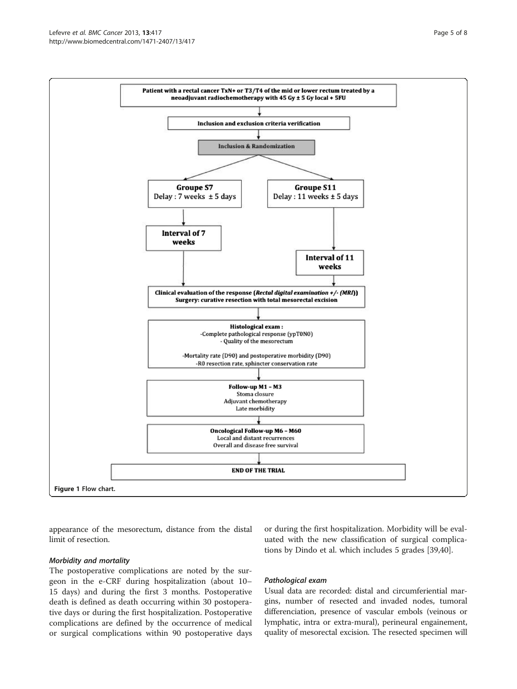<span id="page-4-0"></span>

appearance of the mesorectum, distance from the distal limit of resection.

Morbidity and mortality

The postoperative complications are noted by the surgeon in the e-CRF during hospitalization (about 10– 15 days) and during the first 3 months. Postoperative death is defined as death occurring within 30 postoperative days or during the first hospitalization. Postoperative complications are defined by the occurrence of medical or surgical complications within 90 postoperative days

or during the first hospitalization. Morbidity will be evaluated with the new classification of surgical complications by Dindo et al. which includes 5 grades [\[39,40\]](#page-7-0).

#### Pathological exam

Usual data are recorded: distal and circumferiential margins, number of resected and invaded nodes, tumoral differenciation, presence of vascular embols (veinous or lymphatic, intra or extra-mural), perineural engainement, quality of mesorectal excision. The resected specimen will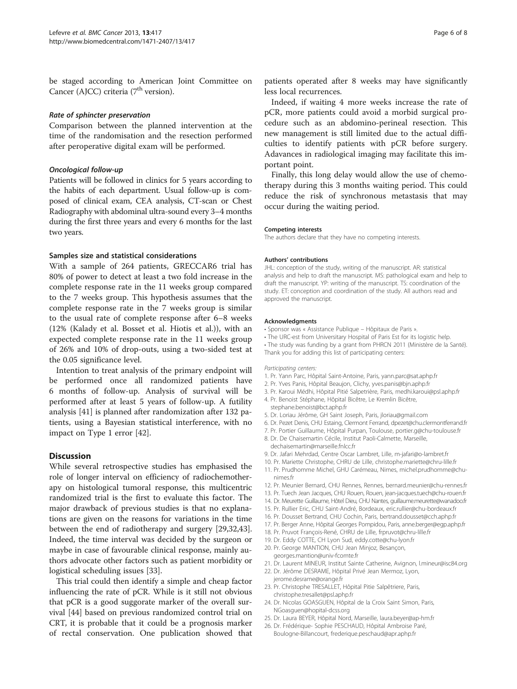<span id="page-5-0"></span>be staged according to American Joint Committee on Cancer (AJCC) criteria  $(7<sup>th</sup>$  version).

#### Rate of sphincter preservation

Comparison between the planned intervention at the time of the randomisation and the resection performed after peroperative digital exam will be performed.

#### Oncological follow-up

Patients will be followed in clinics for 5 years according to the habits of each department. Usual follow-up is composed of clinical exam, CEA analysis, CT-scan or Chest Radiography with abdominal ultra-sound every 3–4 months during the first three years and every 6 months for the last two years.

#### Samples size and statistical considerations

With a sample of 264 patients, GRECCAR6 trial has 80% of power to detect at least a two fold increase in the complete response rate in the 11 weeks group compared to the 7 weeks group. This hypothesis assumes that the complete response rate in the 7 weeks group is similar to the usual rate of complete response after 6–8 weeks (12% (Kalady et al. Bosset et al. Hiotis et al.)), with an expected complete response rate in the 11 weeks group of 26% and 10% of drop-outs, using a two-sided test at the 0.05 significance level.

Intention to treat analysis of the primary endpoint will be performed once all randomized patients have 6 months of follow-up. Analysis of survival will be performed after at least 5 years of follow-up. A futility analysis [[41\]](#page-7-0) is planned after randomization after 132 patients, using a Bayesian statistical interference, with no impact on Type 1 error [\[42\]](#page-7-0).

#### **Discussion**

While several retrospective studies has emphasised the role of longer interval on efficiency of radiochemotherapy on histological tumoral response, this multicentric randomized trial is the first to evaluate this factor. The major drawback of previous studies is that no explanations are given on the reasons for variations in the time between the end of radiotherapy and surgery [\[29,32](#page-6-0)[,43](#page-7-0)]. Indeed, the time interval was decided by the surgeon or maybe in case of favourable clinical response, mainly authors advocate other factors such as patient morbidity or logistical scheduling issues [[33\]](#page-6-0).

This trial could then identify a simple and cheap factor influencing the rate of pCR. While is it still not obvious that pCR is a good suggorate marker of the overall survival [[44](#page-7-0)] based on previous randomized control trial on CRT, it is probable that it could be a prognosis marker of rectal conservation. One publication showed that

patients operated after 8 weeks may have significantly less local recurrences.

Indeed, if waiting 4 more weeks increase the rate of pCR, more patients could avoid a morbid surgical procedure such as an abdomino-perineal resection. This new management is still limited due to the actual difficulties to identify patients with pCR before surgery. Adavances in radiological imaging may facilitate this important point.

Finally, this long delay would allow the use of chemotherapy during this 3 months waiting period. This could reduce the risk of synchronous metastasis that may occur during the waiting period.

#### Competing interests

The authors declare that they have no competing interests.

#### Authors' contributions

JHL: conception of the study, writing of the manuscript. AR: statistical analysis and help to draft the manuscript. MS: pathological exam and help to draft the manuscript. YP: writing of the manuscript. TS: coordination of the study. ET: conception and coordination of the study. All authors read and approved the manuscript.

#### Acknowledgments

- Sponsor was « Assistance Publique Hôpitaux de Paris ».
- The URC-est from Universitary Hospital of Paris Est for its logistic help.
- The study was funding by a grant from PHRCN 2011 (Ministère de la Santé).
- Thank you for adding this list of participating centers:

#### Participating centers:

- 1. Pr. Yann Parc, Hôpital Saint-Antoine, Paris, yann.parc@sat.aphp.fr
- 2. Pr. Yves Panis, Hôpital Beaujon, Clichy, yves.panis@bjn.aphp.fr
- 3. Pr. Karoui Médhi, Hôpital Pitié Salpetrière, Paris, medhi.karoui@psl.aphp.fr
- 4. Pr. Benoist Stéphane, Hôpital Bicêtre, Le Kremlin Bicêtre, stephane.benoist@bct.aphp.fr
- 5. Dr. Loriau Jérôme, GH Saint Joseph, Paris, jloriau@gmail.com
- 6. Dr. Pezet Denis, CHU Estaing, Clermont Ferrand, dpezet@chu.clermontferrand.fr
- 7. Pr. Portier Guillaume, Hôpital Purpan, Toulouse, portier.g@chu-toulouse.fr
- 8. Dr. De Chaisemartin Cécile, Institut Paoli-Calmette, Marseille, dechaisemartin@marseille.fnlcc.fr
- 9. Dr. Jafari Mehrdad, Centre Oscar Lambret, Lille, m-jafari@o-lambret.fr
- 10. Pr. Mariette Christophe, CHRU de Lille, christophe.mariette@chru-lille.fr
- 11. Pr. Prudhomme Michel, GHU Carémeau, Nimes, michel.prudhomme@chunimes.fr
- 12. Pr. Meunier Bernard, CHU Rennes, Rennes, bernard.meunier@chu-rennes.fr
- 13. Pr. Tuech Jean Jacques, CHU Rouen, Rouen, jean-jacques.tuech@chu-rouen.fr
- 14. Dr. Meurette Guillaume, Hôtel Dieu, CHU Nantes, guillaume.meurette@wanadoo.fr
- 15. Pr. Rullier Eric, CHU Saint-André, Bordeaux, eric.rullier@chu-bordeaux.fr
- 16. Pr. Dousset Bertrand, CHU Cochin, Paris, bertrand.dousset@cch.aphp.fr
- 17. Pr. Berger Anne, Hôpital Georges Pompidou, Paris, anne.berger@egp.aphp.fr
- 18. Pr. Pruvot François-René, CHRU de Lille, frpruvot@chru-lille.fr
- 19. Dr. Eddy COTTE, CH Lyon Sud, eddy.cotte@chu-lyon.fr
- 20. Pr. George MANTION, CHU Jean Minjoz, Besançon, georges.mantion@univ-fcomte.fr
- 21. Dr. Laurent MINEUR, Institut Sainte Catherine, Avignon, l.mineur@isc84.org
- 22. Dr. Jérôme DESRAME, Hôpital Privé Jean Mermoz, Lyon, jerome.desrame@orange.fr
- 23. Pr. Christophe TRESALLET, Hôpital Pitie Salpêtriere, Paris, christophe.tresallet@psl.aphp.fr
- 24. Dr. Nicolas GOASGUEN, Hôpital de la Croix Saint Simon, Paris, NGoasguen@hopital-dcss.org
- 25. Dr. Laura BEYER, Hôpital Nord, Marseille, laura.beyer@ap-hm.fr
- 26. Dr. Frédérique- Sophie PESCHAUD, Hôpital Ambroise Paré, Boulogne-Billancourt, frederique.peschaud@apr.aphp.fr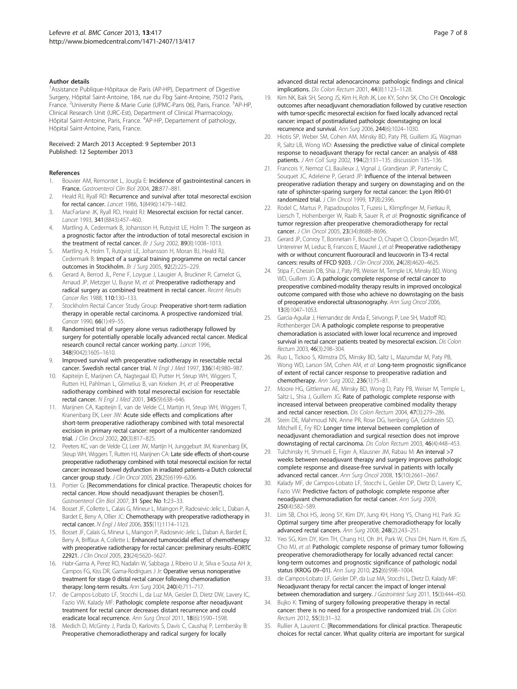#### <span id="page-6-0"></span>Author details

<sup>1</sup> Assistance Publique-Hôpitaux de Paris (AP-HP), Department of Digestive Surgery, Hôpital Saint-Antoine, 184, rue du Fbg Saint-Antoine, 75012 Paris, France. <sup>2</sup>University Pierre & Marie Curie (UPMC-Paris 06), Paris, France. <sup>3</sup>AP-HP, Clinical Research Unit (URC-Est), Department of Clinical Pharmacology, Hôpital Saint-Antoine, Paris, France. <sup>4</sup>AP-HP, Departement of pathology, Hôpital Saint-Antoine, Paris, France.

#### Received: 2 March 2013 Accepted: 9 September 2013 Published: 12 September 2013

#### References

- 1. Bouvier AM, Remontet L, Jougla E: Incidence of gastrointestinal cancers in France. Gastroenterol Clin Biol 2004, 28:877–881.
- Heald RJ, Ryall RD: Recurrence and survival after total mesorectal excision for rectal cancer. Lancet 1986, 1(8496):1479–1482.
- 3. MacFarlane JK, Ryall RD, Heald RJ: Mesorectal excision for rectal cancer. Lancet 1993, 341(8843):457–460.
- 4. Martling A, Cedermark B, Johansson H, Rutgvist LE, Holm T: The surgeon as a prognostic factor after the introduction of total mesorectal excision in the treatment of rectal cancer. Br J Surg 2002, 89(8):1008-1013.
- 5. Martling A, Holm T, Rutqvist LE, Johansson H, Moran BJ, Heald RJ, Cedermark B: Impact of a surgical training programme on rectal cancer outcomes in Stockholm. Br J Surg 2005, 92(2):225–229.
- 6. Gerard A, Berrod JL, Pene F, Loygue J, Laugier A, Bruckner R, Camelot G, Arnaud JP, Metzger U, Buyse M, et al: Preoperative radiotherapy and radical surgery as combined treatment in rectal cancer. Recent Results Cancer Res 1988, 110:130–133.
- 7. Stockholm Rectal Cancer Study Group: Preoperative short-term radiation therapy in operable rectal carcinoma. A prospective randomized trial. Cancer 1990, 66(1):49–55.
- 8. Randomised trial of surgery alone versus radiotherapy followed by surgery for potentially operable locally advanced rectal cancer. Medical research council rectal cancer working party. Lancet 1996, 348(9042):1605–1610.
- 9. Improved survival with preoperative radiotherapy in resectable rectal cancer. Swedish rectal cancer trial. N Engl J Med 1997, 336(14):980–987.
- 10. Kapiteijn E, Marijnen CA, Nagtegaal ID, Putter H, Steup WH, Wiggers T, Rutten HJ, Pahlman L, Glimelius B, van Krieken JH, et al: Preoperative radiotherapy combined with total mesorectal excision for resectable rectal cancer. N Engl J Med 2001, 345(9):638–646.
- 11. Marijnen CA, Kapiteijn E, van de Velde CJ, Martijn H, Steup WH, Wiggers T, Kranenbarg EK, Leer JW: Acute side effects and complications after short-term preoperative radiotherapy combined with total mesorectal excision in primary rectal cancer: report of a multicenter randomized trial. J Clin Oncol 2002, 20(3):817–825.
- 12. Peeters KC, van de Velde CJ, Leer JW, Martijn H, Junggeburt JM, Kranenbarg EK, Steup WH, Wiggers T, Rutten HJ, Marijnen CA: Late side effects of short-course preoperative radiotherapy combined with total mesorectal excision for rectal cancer: increased bowel dysfunction in irradiated patients–a Dutch colorectal cancer group study. J Clin Oncol 2005, 23(25):6199–6206.
- 13. Portier G: [Recommendations for clinical practice. Therapeutic choices for rectal cancer. How should neoadjuvant therapies be chosen?]. Gastroenterol Clin Biol 2007, 31 Spec No 1:23–33.
- 14. Bosset JF, Collette L, Calais G, Mineur L, Maingon P, Radosevic-Jelic L, Daban A, Bardet E, Beny A, Ollier JC: Chemotherapy with preoperative radiotherapy in rectal cancer. N Engl J Med 2006, 355(11):1114–1123.
- 15. Bosset JF, Calais G, Mineur L, Maingon P, Radosevic-Jelic L, Daban A, Bardet E, Beny A, Briffaux A, Collette L: Enhanced tumorocidal effect of chemotherapy with preoperative radiotherapy for rectal cancer: preliminary results–EORTC 22921. J Clin Oncol 2005, 23(24):5620–5627.
- 16. Habr-Gama A, Perez RO, Nadalin W, Sabbaga J, Ribeiro U Jr, Silva e Sousa AH Jr, Campos FG, Kiss DR, Gama-Rodrigues J Jr: Operative versus nonoperative treatment for stage 0 distal rectal cancer following chemoradiation therapy: long-term results. Ann Surg 2004, 240(4):711–717.
- 17. de Campos-Lobato LF, Stocchi L, da Luz MA, Geisler D, Dietz DW, Lavery IC, Fazio VW, Kalady MF: Pathologic complete response after neoadjuvant treatment for rectal cancer decreases distant recurrence and could eradicate local recurrence. Ann Surg Oncol 2011, 18(6):1590–1598.
- 18. Medich D, McGinty J, Parda D, Karlovits S, Davis C, Caushaj P, Lembersky B: Preoperative chemoradiotherapy and radical surgery for locally
- 19. Kim NK, Baik SH, Seong JS, Kim H, Roh JK, Lee KY, Sohn SK, Cho CH: Oncologic outcomes after neoadjuvant chemoradiation followed by curative resection with tumor-specific mesorectal excision for fixed locally advanced rectal cancer: impact of postirradiated pathologic downstaging on local recurrence and survival. Ann Surg 2006, 244(6):1024–1030.
- 20. Hiotis SP, Weber SM, Cohen AM, Minsky BD, Paty PB, Guillem JG, Wagman R, Saltz LB, Wong WD: Assessing the predictive value of clinical complete response to neoadjuvant therapy for rectal cancer: an analysis of 488 patients. J Am Coll Surg 2002, 194(2):131–135. discussion 135–136.
- 21. Francois Y, Nemoz CJ, Baulieux J, Vignal J, Grandjean JP, Partensky C, Souquet JC, Adeleine P, Gerard JP: Influence of the interval between preoperative radiation therapy and surgery on downstaging and on the rate of sphincter-sparing surgery for rectal cancer: the Lyon R90-01 randomized trial. J Clin Oncol 1999, 17(8):2396.
- 22. Rodel C, Martus P, Papadoupolos T, Fuzesi L, Klimpfinger M, Fietkau R, Liersch T, Hohenberger W, Raab R, Sauer R, et al: Prognostic significance of tumor regression after preoperative chemoradiotherapy for rectal cancer. J Clin Oncol 2005, 23(34):8688-8696.
- 23. Gerard JP, Conroy T, Bonnetain F, Bouche O, Chapet O, Closon-Dejardin MT, Untereiner M, Leduc B, Francois E, Maurel J, et al: Preoperative radiotherapy with or without concurrent fluorouracil and leucovorin in T3-4 rectal cancers: results of FFCD 9203. J Clin Oncol 2006, 24(28):4620–4625.
- 24. Stipa F, Chessin DB, Shia J, Paty PB, Weiser M, Temple LK, Minsky BD, Wong WD, Guillem JG: A pathologic complete response of rectal cancer to preoperative combined-modality therapy results in improved oncological outcome compared with those who achieve no downstaging on the basis of preoperative endorectal ultrasonography. Ann Surg Oncol 2006, 13(8):1047–1053.
- 25. Garcia-Aguilar J, Hernandez de Anda E, Sirivongs P, Lee SH, Madoff RD, Rothenberger DA: A pathologic complete response to preoperative chemoradiation is associated with lower local recurrence and improved survival in rectal cancer patients treated by mesorectal excision. Dis Colon Rectum 2003, 46(3):298-304.
- 26. Ruo L, Tickoo S, Klimstra DS, Minsky BD, Saltz L, Mazumdar M, Paty PB, Wong WD, Larson SM, Cohen AM, et al: Long-term prognostic significance of extent of rectal cancer response to preoperative radiation and chemotherapy. Ann Surg 2002, 236(1):75–81.
- 27. Moore HG, Gittleman AE, Minsky BD, Wong D, Paty PB, Weiser M, Temple L, Saltz L, Shia J, Guillem JG: Rate of pathologic complete response with increased interval between preoperative combined modality therapy and rectal cancer resection. Dis Colon Rectum 2004, 47(3):279–286.
- 28. Stein DE, Mahmoud NN, Anne PR, Rose DG, Isenberg GA, Goldstein SD, Mitchell E, Fry RD: Longer time interval between completion of neoadjuvant chemoradiation and surgical resection does not improve downstaging of rectal carcinoma. Dis Colon Rectum 2003, 46(4):448–453.
- 29. Tulchinsky H, Shmueli E, Figer A, Klausner JM, Rabau M: An interval >7 weeks between neoadjuvant therapy and surgery improves pathologic complete response and disease-free survival in patients with locally advanced rectal cancer. Ann Surg Oncol 2008, 15(10):2661–2667.
- 30. Kalady MF, de Campos-Lobato LF, Stocchi L, Geisler DP, Dietz D, Lavery IC, Fazio VW: Predictive factors of pathologic complete response after neoadjuvant chemoradiation for rectal cancer. Ann Surg 2009, 250(4):582–589.
- 31. Lim SB, Choi HS, Jeong SY, Kim DY, Jung KH, Hong YS, Chang HJ, Park JG: Optimal surgery time after preoperative chemoradiotherapy for locally advanced rectal cancers. Ann Surg 2008, 248(2):243–251.
- 32. Yeo SG, Kim DY, Kim TH, Chang HJ, Oh JH, Park W, Choi DH, Nam H, Kim JS, Cho MJ, et al: Pathologic complete response of primary tumor following preoperative chemoradiotherapy for locally advanced rectal cancer: long-term outcomes and prognostic significance of pathologic nodal status (KROG 09–01). Ann Surg 2010, 252(6):998–1004.
- 33. de Campos-Lobato LF, Geisler DP, da Luz MA, Stocchi L, Dietz D, Kalady MF: Neoadjuvant therapy for rectal cancer: the impact of longer interval between chemoradiation and surgery. J Gastrointest Surg 2011, 15(3):444-450.
- 34. Bujko K: Timing of surgery following preoperative therapy in rectal cancer: there is no need for a prospective randomized trial. Dis Colon Rectum 2012, 55(3):31–32.
- 35. Rullier A, Laurent C: [Recommendations for clinical practice. Therapeutic choices for rectal cancer. What quality criteria are important for surgical